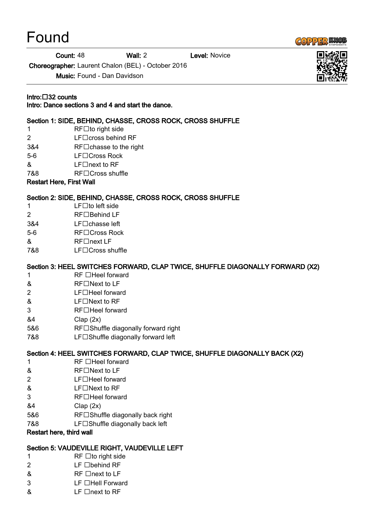# Found



Count: 48 Wall: 2 Level: Novice

Choreographer: Laurent Chalon (BEL) - October 2016

Music: Found - Dan Davidson

### Intro: 32 counts

Intro: Dance sections 3 and 4 and start the dance.

## Section 1: SIDE, BEHIND, CHASSE, CROSS ROCK, CROSS SHUFFLE

- $1$  RF $\square$ to right side
- $2$  LF $\Box$ cross behind RF
- $384$  RF $\Box$ chasse to the right
- 5-6 LF□Cross Rock
- $\mathsf{R}$  LE $\Box$ next to RF
- 7&8 RF□Cross shuffle

#### Restart Here, First Wall

## Section 2: SIDE, BEHIND, CHASSE, CROSS ROCK, CROSS SHUFFLE

- $1$  LF $\Box$ to left side
- 2 RF□Behind LF
- 3&4 LF□chasse left
- 5-6 RF□Cross Rock
- & RF□next LF
- 7&8 LF□Cross shuffle

# Section 3: HEEL SWITCHES FORWARD, CLAP TWICE, SHUFFLE DIAGONALLY FORWARD (X2)

- 1 RF **Heel** forward
- $\&$  RF $\Box$ Next to LF
- $2$  LF $\Box$ Heel forward
- $&$  LF $\Box$ Next to RF
- 3 RF□Heel forward
- &4 Clap (2x)
- 5&6 RF□Shuffle diagonally forward right
- 7&8 **LF**□Shuffle diagonally forward left

## Section 4: HEEL SWITCHES FORWARD, CLAP TWICE, SHUFFLE DIAGONALLY BACK (X2)

- $1$  RF  $\Box$  Heel forward
- $&$  RF $\square$  Next to LF
- $2$  LF $\Box$ Heel forward
- $\&$  LF $\Box$ Next to RF
- 3 RF Heel forward
- &4 Clap (2x)
- 5&6 RF□Shuffle diagonally back right
- 7&8 **LF**□Shuffle diagonally back left

#### Restart here, third wall

## Section 5: VAUDEVILLE RIGHT, VAUDEVILLE LEFT

- $1$  RF  $\Box$  to right side
- $2$  LF  $\Box$ behind RF
- $\&$  RF  $\Box$ next to LF
- 3 LF **Hell Forward**
- $& \qquad \qquad \text{LF} \square$ next to RF